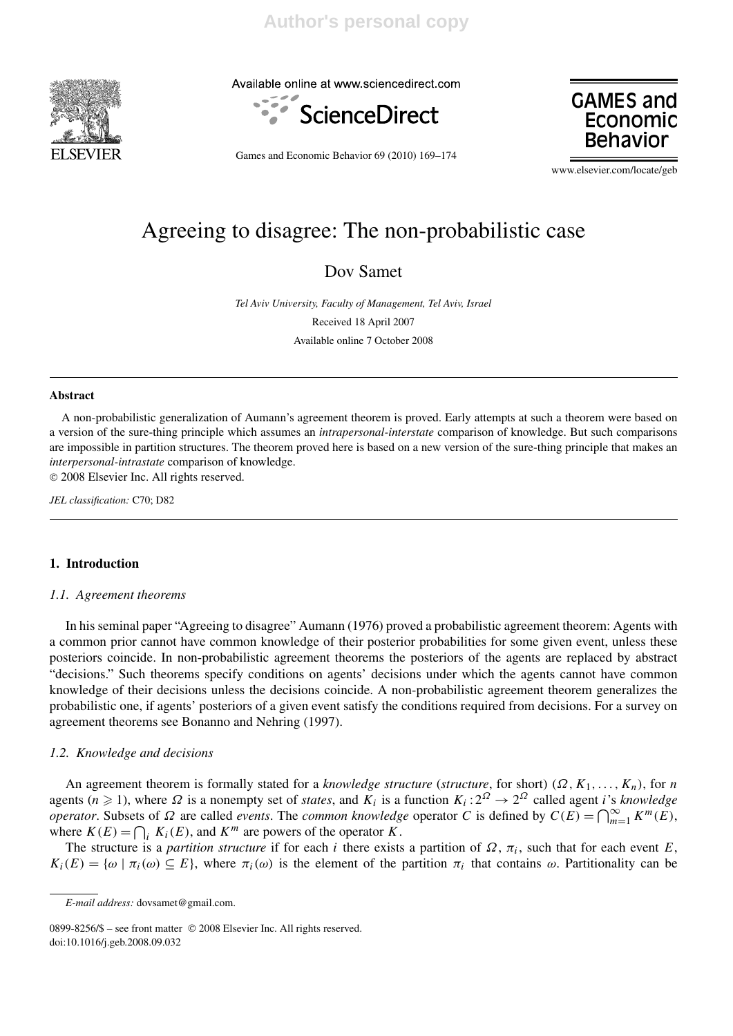

Available online at www.sciencedirect.com





Games and Economic Behavior 69 (2010) 169–174

www.elsevier.com/locate/geb

# Agreeing to disagree: The non-probabilistic case

Dov Samet

*Tel Aviv University, Faculty of Management, Tel Aviv, Israel* Received 18 April 2007 Available online 7 October 2008

# **Abstract**

A non-probabilistic generalization of Aumann's agreement theorem is proved. Early attempts at such a theorem were based on a version of the sure-thing principle which assumes an *intrapersonal-interstate* comparison of knowledge. But such comparisons are impossible in partition structures. The theorem proved here is based on a new version of the sure-thing principle that makes an *interpersonal-intrastate* comparison of knowledge.

© 2008 Elsevier Inc. All rights reserved.

*JEL classification:* C70; D82

# **1. Introduction**

#### *1.1. Agreement theorems*

In his seminal paper "Agreeing to disagree" Aumann (1976) proved a probabilistic agreement theorem: Agents with a common prior cannot have common knowledge of their posterior probabilities for some given event, unless these posteriors coincide. In non-probabilistic agreement theorems the posteriors of the agents are replaced by abstract "decisions." Such theorems specify conditions on agents' decisions under which the agents cannot have common knowledge of their decisions unless the decisions coincide. A non-probabilistic agreement theorem generalizes the probabilistic one, if agents' posteriors of a given event satisfy the conditions required from decisions. For a survey on agreement theorems see Bonanno and Nehring (1997).

# *1.2. Knowledge and decisions*

An agreement theorem is formally stated for a *knowledge structure* (*structure*, for short) *(Ω, K*1*,...,Kn)*, for *n* agents ( $n \ge 1$ ), where  $\Omega$  is a nonempty set of *states*, and  $K_i$  is a function  $K_i: 2^{\Omega} \to 2^{\Omega}$  called agent *i*'s *knowledge operator*. Subsets of  $\Omega$  are called *events*. The *common knowledge* operator *C* is defined by  $C(E) = \bigcap_{m=1}^{\infty} K^m(E)$ , where  $K(E) = \bigcap_i K_i(E)$ , and  $K^m$  are powers of the operator *K*.

The structure is a *partition structure* if for each *i* there exists a partition of  $\Omega$ ,  $\pi_i$ , such that for each event *E*,  $K_i(E) = \{\omega \mid \pi_i(\omega) \subseteq E\}$ , where  $\pi_i(\omega)$  is the element of the partition  $\pi_i$  that contains  $\omega$ . Partitionality can be

*E-mail address:* dovsamet@gmail.com.

<sup>0899-8256/\$ –</sup> see front matter © 2008 Elsevier Inc. All rights reserved. doi:10.1016/j.geb.2008.09.032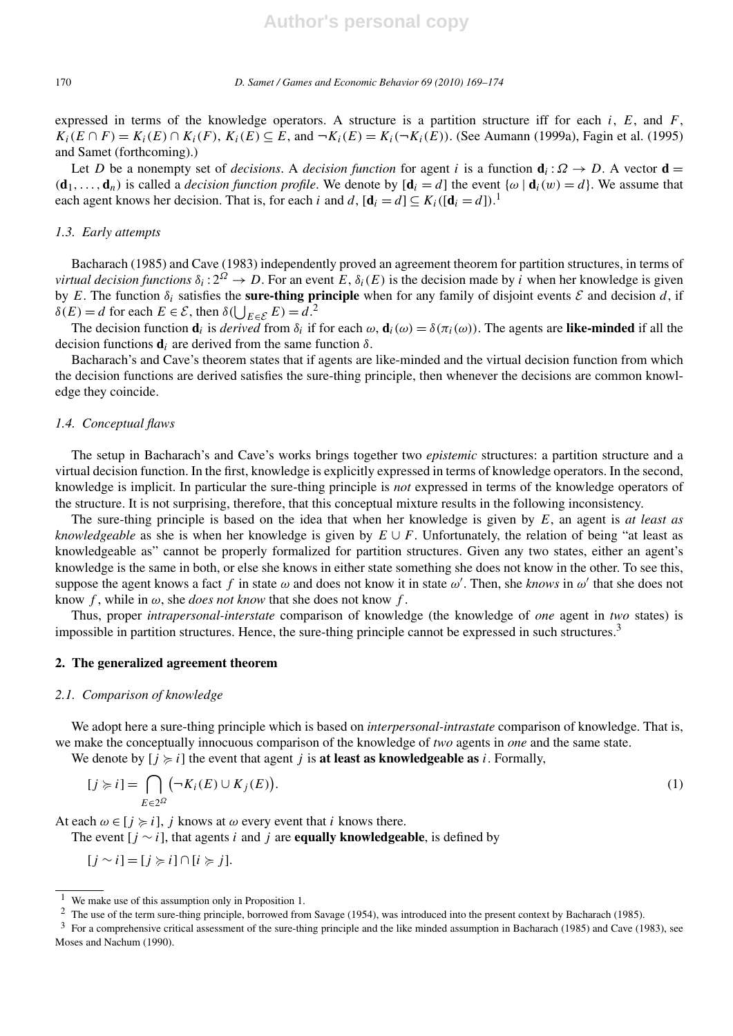expressed in terms of the knowledge operators. A structure is a partition structure iff for each *i*, *E*, and *F*, *K<sub>i</sub>*(*E* ∩ *F*) = *K<sub>i</sub>*(*E*) ∩ *K<sub>i</sub>*(*F*), *K<sub>i</sub>*(*E*) ⊆ *E*, and  $\neg K_i(E) = K_i(\neg K_i(E))$ . (See Aumann (1999a), Fagin et al. (1995) and Samet (forthcoming).)

Let *D* be a nonempty set of *decisions*. A *decision function* for agent *i* is a function  $\mathbf{d}_i : \Omega \to D$ . A vector  $\mathbf{d} =$  $(\mathbf{d}_1, \ldots, \mathbf{d}_n)$  is called a *decision function profile*. We denote by  $[\mathbf{d}_i = d]$  the event  $\{\omega \mid \mathbf{d}_i(w) = d\}$ . We assume that each agent knows her decision. That is, for each *i* and *d*,  $[\mathbf{d}_i = d] \subseteq K_i([\mathbf{d}_i = d])$ .<sup>1</sup>

# *1.3. Early attempts*

Bacharach (1985) and Cave (1983) independently proved an agreement theorem for partition structures, in terms of *virtual decision functions*  $\delta_i: 2^{\Omega} \to D$ . For an event *E*,  $\delta_i(E)$  is the decision made by *i* when her knowledge is given by *E*. The function  $\delta_i$  satisfies the **sure-thing principle** when for any family of disjoint events  $\mathcal{E}$  and decision *d*, if  $\delta(E) = d$  for each  $E \in \mathcal{E}$ , then  $\delta(\bigcup_{E \in \mathcal{E}} E) = d^2$ .

The decision function  $\mathbf{d}_i$  is *derived* from  $\delta_i$  if for each  $\omega$ ,  $\mathbf{d}_i(\omega) = \delta(\pi_i(\omega))$ . The agents are **like-minded** if all the decision functions  $\mathbf{d}_i$  are derived from the same function  $\delta$ .

Bacharach's and Cave's theorem states that if agents are like-minded and the virtual decision function from which the decision functions are derived satisfies the sure-thing principle, then whenever the decisions are common knowledge they coincide.

# *1.4. Conceptual flaws*

The setup in Bacharach's and Cave's works brings together two *epistemic* structures: a partition structure and a virtual decision function. In the first, knowledge is explicitly expressed in terms of knowledge operators. In the second, knowledge is implicit. In particular the sure-thing principle is *not* expressed in terms of the knowledge operators of the structure. It is not surprising, therefore, that this conceptual mixture results in the following inconsistency.

The sure-thing principle is based on the idea that when her knowledge is given by *E*, an agent is *at least as knowledgeable* as she is when her knowledge is given by  $E \cup F$ . Unfortunately, the relation of being "at least as knowledgeable as" cannot be properly formalized for partition structures. Given any two states, either an agent's knowledge is the same in both, or else she knows in either state something she does not know in the other. To see this, suppose the agent knows a fact f in state  $\omega$  and does not know it in state  $\omega'$ . Then, she *knows* in  $\omega'$  that she does not know  $f$ , while in  $\omega$ , she *does not know* that she does not know  $f$ .

Thus, proper *intrapersonal-interstate* comparison of knowledge (the knowledge of *one* agent in *two* states) is impossible in partition structures. Hence, the sure-thing principle cannot be expressed in such structures.<sup>3</sup>

# **2. The generalized agreement theorem**

# *2.1. Comparison of knowledge*

We adopt here a sure-thing principle which is based on *interpersonal-intrastate* comparison of knowledge. That is, we make the conceptually innocuous comparison of the knowledge of *two* agents in *one* and the same state.

We denote by  $\begin{bmatrix} i \geq i \end{bmatrix}$  the event that agent *i* is **at least as knowledgeable as** *i*. Formally,

$$
[j \succcurlyeq i] = \bigcap_{E \in 2^{\Omega}} \left( \neg K_i(E) \cup K_j(E) \right). \tag{1}
$$

At each  $\omega \in [j \succ i]$ , *j* knows at  $\omega$  every event that *i* knows there.

The event  $[j \sim i]$ , that agents *i* and *j* are **equally knowledgeable**, is defined by

 $[j \sim i] = [j \succ i] \cap [i \succ j].$ 

<sup>1</sup> We make use of this assumption only in Proposition 1.

<sup>&</sup>lt;sup>2</sup> The use of the term sure-thing principle, borrowed from Savage (1954), was introduced into the present context by Bacharach (1985).

 $3$  For a comprehensive critical assessment of the sure-thing principle and the like minded assumption in Bacharach (1985) and Cave (1983), see Moses and Nachum (1990).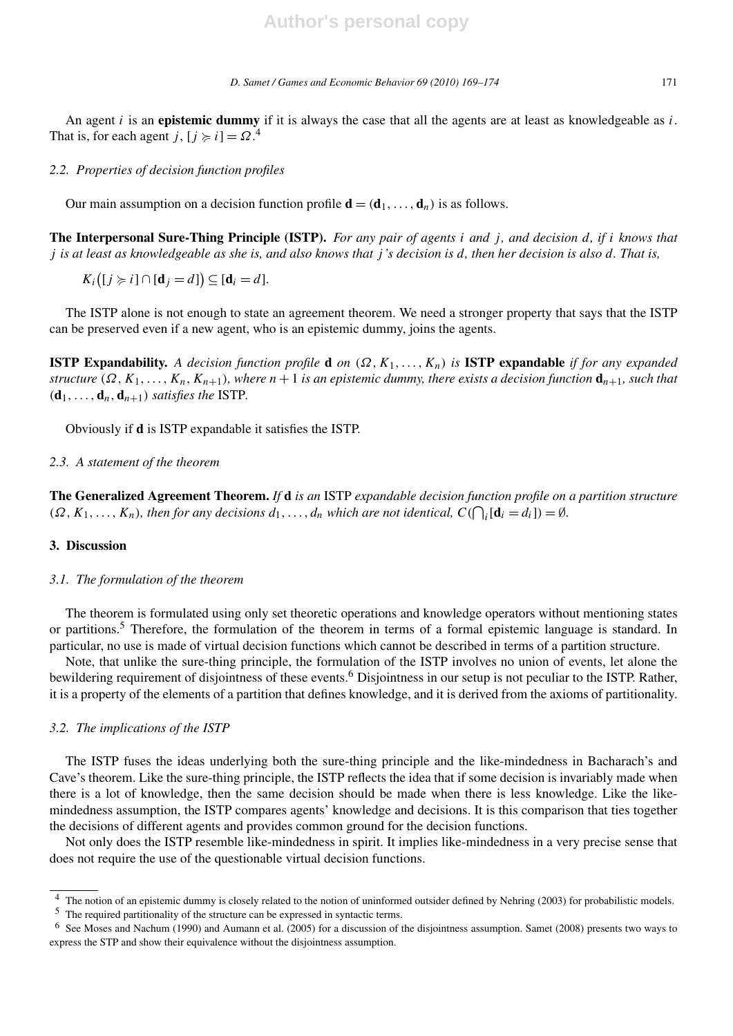An agent *i* is an **epistemic dummy** if it is always the case that all the agents are at least as knowledgeable as *i*. That is, for each agent *j*,  $[j \succ i] = \Omega$ <sup>4</sup>

# *2.2. Properties of decision function profiles*

Our main assumption on a decision function profile  $\mathbf{d} = (\mathbf{d}_1, \dots, \mathbf{d}_n)$  is as follows.

**The Interpersonal Sure-Thing Principle (ISTP).** *For any pair of agents i and j , and decision d, if i knows that j is at least as knowledgeable as she is, and also knows that j 's decision is d, then her decision is also d. That is,*

 $K_i([j \succcurlyeq i] \cap [\mathbf{d}_j = d]) \subseteq [\mathbf{d}_i = d].$ 

The ISTP alone is not enough to state an agreement theorem. We need a stronger property that says that the ISTP can be preserved even if a new agent, who is an epistemic dummy, joins the agents.

**ISTP Expandability.** A decision function profile **d** on  $(\Omega, K_1, \ldots, K_n)$  is **ISTP expandable** *if for any expanded structure*  $(\Omega, K_1, \ldots, K_n, K_{n+1})$ *, where*  $n+1$  *is an epistemic dummy, there exists a decision function*  $\mathbf{d}_{n+1}$ *, such that*  $(d_1, \ldots, d_n, d_{n+1})$  *satisfies the* ISTP.

Obviously if **d** is ISTP expandable it satisfies the ISTP.

# *2.3. A statement of the theorem*

**The Generalized Agreement Theorem.** *If* **d** *is an* ISTP *expandable decision function profile on a partition structure*  $(X, K_1, \ldots, K_n)$ , then for any decisions  $d_1, \ldots, d_n$  which are not identical,  $C(\bigcap_i [\mathbf{d}_i = d_i]) = \emptyset$ .

# **3. Discussion**

# *3.1. The formulation of the theorem*

The theorem is formulated using only set theoretic operations and knowledge operators without mentioning states or partitions.<sup>5</sup> Therefore, the formulation of the theorem in terms of a formal epistemic language is standard. In particular, no use is made of virtual decision functions which cannot be described in terms of a partition structure.

Note, that unlike the sure-thing principle, the formulation of the ISTP involves no union of events, let alone the bewildering requirement of disjointness of these events.<sup>6</sup> Disjointness in our setup is not peculiar to the ISTP. Rather, it is a property of the elements of a partition that defines knowledge, and it is derived from the axioms of partitionality.

#### *3.2. The implications of the ISTP*

The ISTP fuses the ideas underlying both the sure-thing principle and the like-mindedness in Bacharach's and Cave's theorem. Like the sure-thing principle, the ISTP reflects the idea that if some decision is invariably made when there is a lot of knowledge, then the same decision should be made when there is less knowledge. Like the likemindedness assumption, the ISTP compares agents' knowledge and decisions. It is this comparison that ties together the decisions of different agents and provides common ground for the decision functions.

Not only does the ISTP resemble like-mindedness in spirit. It implies like-mindedness in a very precise sense that does not require the use of the questionable virtual decision functions.

<sup>&</sup>lt;sup>4</sup> The notion of an epistemic dummy is closely related to the notion of uninformed outsider defined by Nehring (2003) for probabilistic models.

<sup>5</sup> The required partitionality of the structure can be expressed in syntactic terms.

<sup>6</sup> See Moses and Nachum (1990) and Aumann et al. (2005) for a discussion of the disjointness assumption. Samet (2008) presents two ways to express the STP and show their equivalence without the disjointness assumption.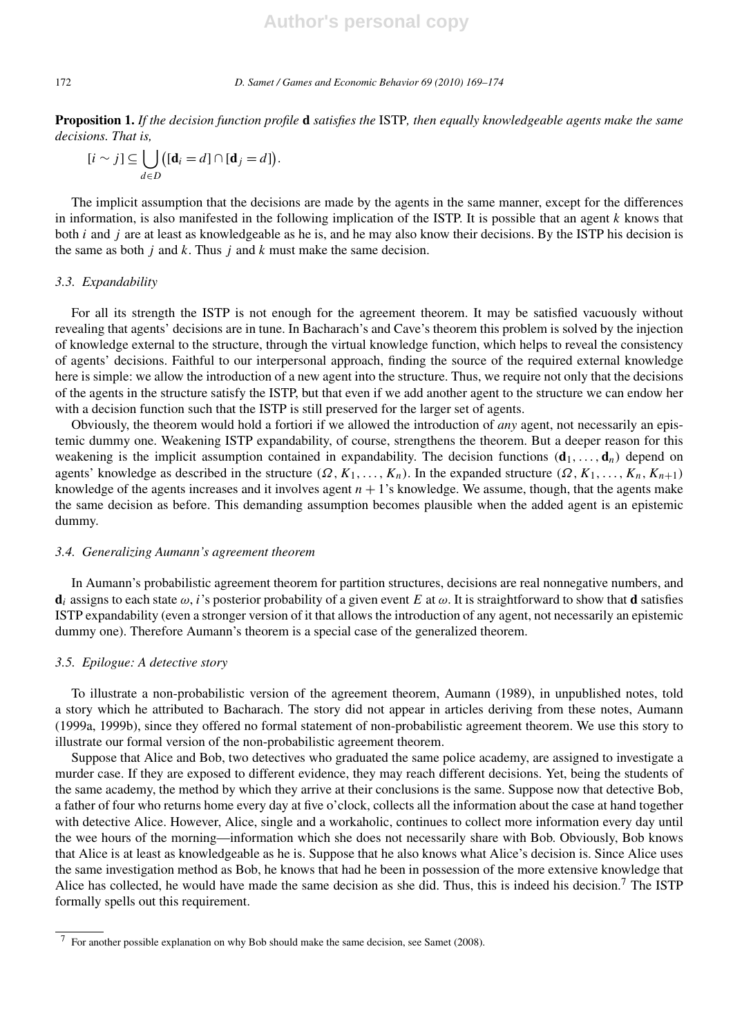#### 172 *D. Samet / Games and Economic Behavior 69 (2010) 169–174*

**Proposition 1.** *If the decision function profile* **d** *satisfies the* ISTP*, then equally knowledgeable agents make the same decisions. That is,*

$$
[i \sim j] \subseteq \bigcup_{d \in D} \bigl([\mathbf{d}_i = d] \cap [\mathbf{d}_j = d]\bigr).
$$

The implicit assumption that the decisions are made by the agents in the same manner, except for the differences in information, is also manifested in the following implication of the ISTP. It is possible that an agent *k* knows that both *i* and *j* are at least as knowledgeable as he is, and he may also know their decisions. By the ISTP his decision is the same as both *j* and *k*. Thus *j* and *k* must make the same decision.

# *3.3. Expandability*

For all its strength the ISTP is not enough for the agreement theorem. It may be satisfied vacuously without revealing that agents' decisions are in tune. In Bacharach's and Cave's theorem this problem is solved by the injection of knowledge external to the structure, through the virtual knowledge function, which helps to reveal the consistency of agents' decisions. Faithful to our interpersonal approach, finding the source of the required external knowledge here is simple: we allow the introduction of a new agent into the structure. Thus, we require not only that the decisions of the agents in the structure satisfy the ISTP, but that even if we add another agent to the structure we can endow her with a decision function such that the ISTP is still preserved for the larger set of agents.

Obviously, the theorem would hold a fortiori if we allowed the introduction of *any* agent, not necessarily an epistemic dummy one. Weakening ISTP expandability, of course, strengthens the theorem. But a deeper reason for this weakening is the implicit assumption contained in expandability. The decision functions  $(\mathbf{d}_1, \ldots, \mathbf{d}_n)$  depend on agents' knowledge as described in the structure  $(\Omega, K_1, \ldots, K_n)$ . In the expanded structure  $(\Omega, K_1, \ldots, K_n, K_{n+1})$ knowledge of the agents increases and it involves agent *n* + 1's knowledge. We assume, though, that the agents make the same decision as before. This demanding assumption becomes plausible when the added agent is an epistemic dummy.

### *3.4. Generalizing Aumann's agreement theorem*

In Aumann's probabilistic agreement theorem for partition structures, decisions are real nonnegative numbers, and  $\mathbf{d}_i$  assigns to each state  $\omega$ , *i*'s posterior probability of a given event *E* at  $\omega$ . It is straightforward to show that **d** satisfies ISTP expandability (even a stronger version of it that allows the introduction of any agent, not necessarily an epistemic dummy one). Therefore Aumann's theorem is a special case of the generalized theorem.

# *3.5. Epilogue: A detective story*

To illustrate a non-probabilistic version of the agreement theorem, Aumann (1989), in unpublished notes, told a story which he attributed to Bacharach. The story did not appear in articles deriving from these notes, Aumann (1999a, 1999b), since they offered no formal statement of non-probabilistic agreement theorem. We use this story to illustrate our formal version of the non-probabilistic agreement theorem.

Suppose that Alice and Bob, two detectives who graduated the same police academy, are assigned to investigate a murder case. If they are exposed to different evidence, they may reach different decisions. Yet, being the students of the same academy, the method by which they arrive at their conclusions is the same. Suppose now that detective Bob, a father of four who returns home every day at five o'clock, collects all the information about the case at hand together with detective Alice. However, Alice, single and a workaholic, continues to collect more information every day until the wee hours of the morning—information which she does not necessarily share with Bob. Obviously, Bob knows that Alice is at least as knowledgeable as he is. Suppose that he also knows what Alice's decision is. Since Alice uses the same investigation method as Bob, he knows that had he been in possession of the more extensive knowledge that Alice has collected, he would have made the same decision as she did. Thus, this is indeed his decision.<sup>7</sup> The ISTP formally spells out this requirement.

<sup>7</sup> For another possible explanation on why Bob should make the same decision, see Samet (2008).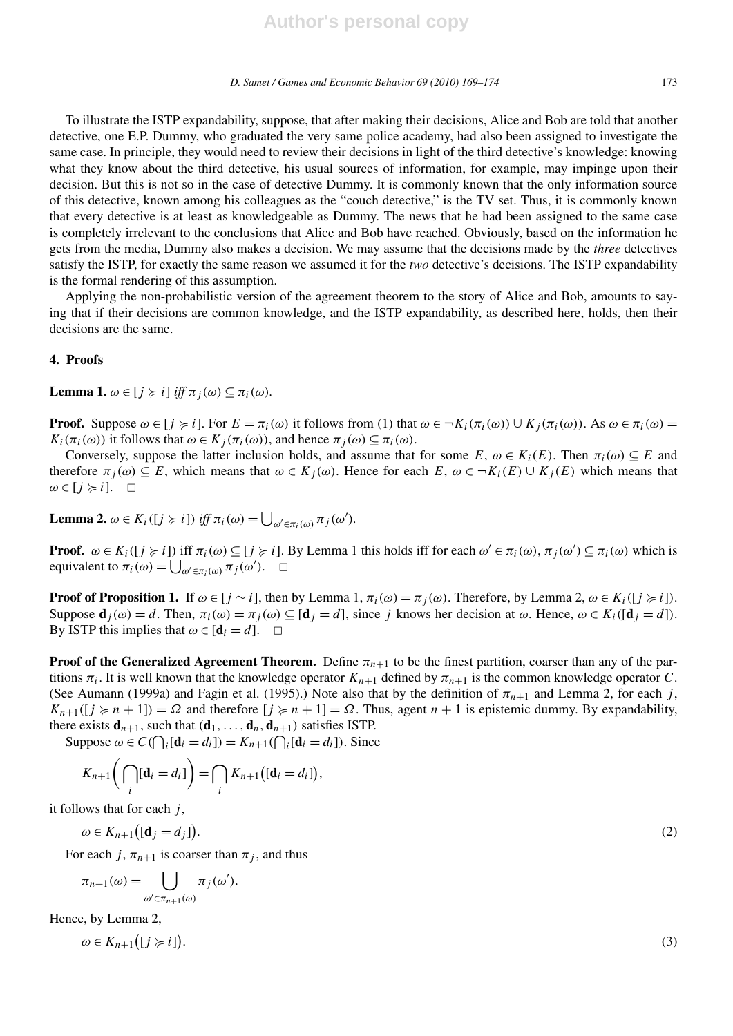*D. Samet / Games and Economic Behavior 69 (2010) 169–174* 173

To illustrate the ISTP expandability, suppose, that after making their decisions, Alice and Bob are told that another detective, one E.P. Dummy, who graduated the very same police academy, had also been assigned to investigate the same case. In principle, they would need to review their decisions in light of the third detective's knowledge: knowing what they know about the third detective, his usual sources of information, for example, may impinge upon their decision. But this is not so in the case of detective Dummy. It is commonly known that the only information source of this detective, known among his colleagues as the "couch detective," is the TV set. Thus, it is commonly known that every detective is at least as knowledgeable as Dummy. The news that he had been assigned to the same case is completely irrelevant to the conclusions that Alice and Bob have reached. Obviously, based on the information he gets from the media, Dummy also makes a decision. We may assume that the decisions made by the *three* detectives satisfy the ISTP, for exactly the same reason we assumed it for the *two* detective's decisions. The ISTP expandability is the formal rendering of this assumption.

Applying the non-probabilistic version of the agreement theorem to the story of Alice and Bob, amounts to saying that if their decisions are common knowledge, and the ISTP expandability, as described here, holds, then their decisions are the same.

# **4. Proofs**

**Lemma 1.**  $\omega \in [j \geq i]$  *iff*  $\pi_j(\omega) \subseteq \pi_i(\omega)$ *.* 

**Proof.** Suppose  $\omega \in [j \ge i]$ . For  $E = \pi_i(\omega)$  it follows from (1) that  $\omega \in \neg K_i(\pi_i(\omega)) \cup K_j(\pi_i(\omega))$ . As  $\omega \in \pi_i(\omega) =$  $K_i(\pi_i(\omega))$  it follows that  $\omega \in K_i(\pi_i(\omega))$ , and hence  $\pi_i(\omega) \subseteq \pi_i(\omega)$ .

Conversely, suppose the latter inclusion holds, and assume that for some *E*,  $\omega \in K_i(E)$ . Then  $\pi_i(\omega) \subseteq E$  and therefore  $\pi_j(\omega) \subseteq E$ , which means that  $\omega \in K_j(\omega)$ . Hence for each  $E, \omega \in \neg K_i(E) \cup K_j(E)$  which means that  $\omega \in [j \succcurlyeq i].$   $\Box$ 

**Lemma 2.**  $\omega \in K_i([j \succcurlyeq i])$  *iff*  $\pi_i(\omega) = \bigcup_{\omega' \in \pi_i(\omega)} \pi_j(\omega').$ 

**Proof.**  $\omega \in K_i([j \succ i])$  iff  $\pi_i(\omega) \subseteq [j \succ i]$ . By Lemma 1 this holds iff for each  $\omega' \in \pi_i(\omega)$ ,  $\pi_j(\omega') \subseteq \pi_i(\omega)$  which is equivalent to  $\pi_i(\omega) = \bigcup_{\omega' \in \pi_i(\omega)} \pi_j(\omega')$ .  $\Box$ 

**Proof of Proposition 1.** If  $\omega \in [j \sim i]$ , then by Lemma 1,  $\pi_i(\omega) = \pi_j(\omega)$ . Therefore, by Lemma 2,  $\omega \in K_i([j \succ i])$ . Suppose  $\mathbf{d}_i(\omega) = d$ . Then,  $\pi_i(\omega) = \pi_i(\omega) \subseteq [\mathbf{d}_i = d]$ , since j knows her decision at  $\omega$ . Hence,  $\omega \in K_i([\mathbf{d}_i = d])$ . By ISTP this implies that  $\omega \in [\mathbf{d}_i = d]$ .  $\Box$ 

**Proof of the Generalized Agreement Theorem.** Define  $\pi_{n+1}$  to be the finest partition, coarser than any of the partitions  $\pi_i$ . It is well known that the knowledge operator  $K_{n+1}$  defined by  $\pi_{n+1}$  is the common knowledge operator *C*. (See Aumann (1999a) and Fagin et al. (1995).) Note also that by the definition of  $\pi_{n+1}$  and Lemma 2, for each *j*,  $K_{n+1}([j \succ n+1]) = \Omega$  and therefore  $[j \succ n+1] = \Omega$ . Thus, agent  $n+1$  is epistemic dummy. By expandability, there exists  $\mathbf{d}_{n+1}$ , such that  $(\mathbf{d}_1, \ldots, \mathbf{d}_n, \mathbf{d}_{n+1})$  satisfies ISTP.

Suppose  $\omega \in C(\bigcap_i [\mathbf{d}_i = d_i]) = K_{n+1}(\bigcap_i [\mathbf{d}_i = d_i])$ . Since

$$
K_{n+1}\bigg(\bigcap_i[\mathbf{d}_i=d_i]\bigg)=\bigcap_i K_{n+1}\big([\mathbf{d}_i=d_i]\big),
$$

it follows that for each *j* ,

 $\omega \in K_{n+1}([\mathbf{d}_j = d_j])$ *.* (2)

For each *j*,  $\pi_{n+1}$  is coarser than  $\pi_i$ , and thus

$$
\pi_{n+1}(\omega) = \bigcup_{\omega' \in \pi_{n+1}(\omega)} \pi_j(\omega').
$$

Hence, by Lemma 2,

 $\omega \in K_{n+1}([j \succ i])$ 

*.* (3)